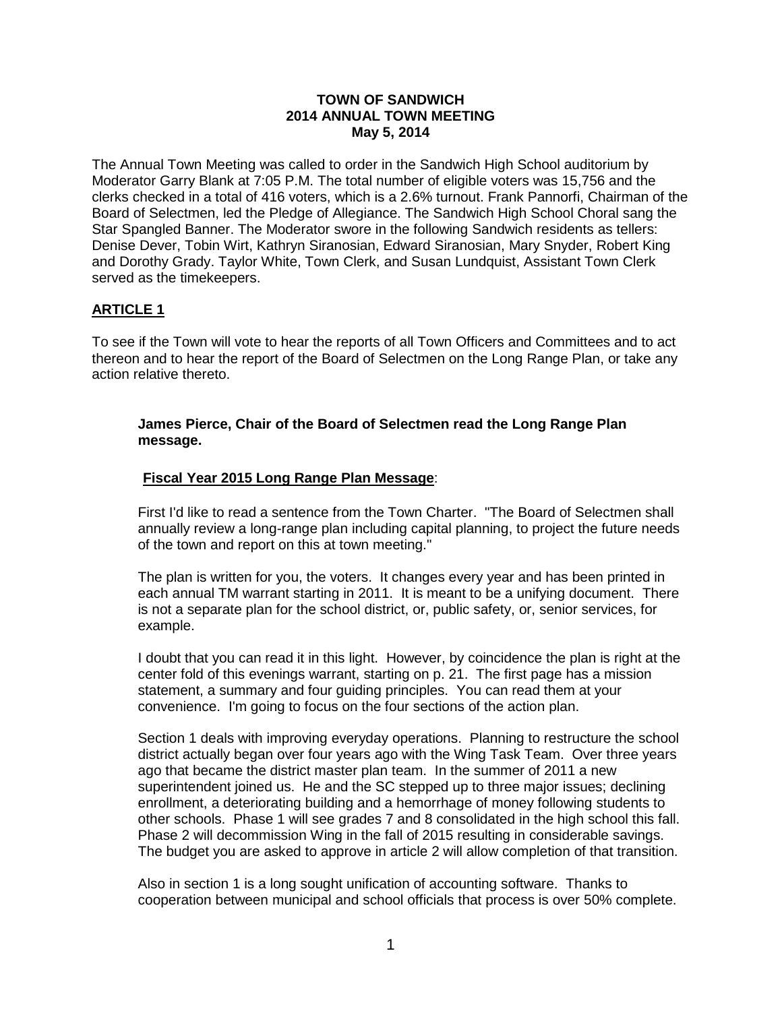### **TOWN OF SANDWICH 2014 ANNUAL TOWN MEETING May 5, 2014**

The Annual Town Meeting was called to order in the Sandwich High School auditorium by Moderator Garry Blank at 7:05 P.M. The total number of eligible voters was 15,756 and the clerks checked in a total of 416 voters, which is a 2.6% turnout. Frank Pannorfi, Chairman of the Board of Selectmen, led the Pledge of Allegiance. The Sandwich High School Choral sang the Star Spangled Banner. The Moderator swore in the following Sandwich residents as tellers: Denise Dever, Tobin Wirt, Kathryn Siranosian, Edward Siranosian, Mary Snyder, Robert King and Dorothy Grady. Taylor White, Town Clerk, and Susan Lundquist, Assistant Town Clerk served as the timekeepers.

## **ARTICLE 1**

To see if the Town will vote to hear the reports of all Town Officers and Committees and to act thereon and to hear the report of the Board of Selectmen on the Long Range Plan, or take any action relative thereto.

### **James Pierce, Chair of the Board of Selectmen read the Long Range Plan message.**

## **Fiscal Year 2015 Long Range Plan Message**:

First I'd like to read a sentence from the Town Charter. "The Board of Selectmen shall annually review a long-range plan including capital planning, to project the future needs of the town and report on this at town meeting."

The plan is written for you, the voters. It changes every year and has been printed in each annual TM warrant starting in 2011. It is meant to be a unifying document. There is not a separate plan for the school district, or, public safety, or, senior services, for example.

I doubt that you can read it in this light. However, by coincidence the plan is right at the center fold of this evenings warrant, starting on p. 21. The first page has a mission statement, a summary and four guiding principles. You can read them at your convenience. I'm going to focus on the four sections of the action plan.

Section 1 deals with improving everyday operations. Planning to restructure the school district actually began over four years ago with the Wing Task Team. Over three years ago that became the district master plan team. In the summer of 2011 a new superintendent joined us. He and the SC stepped up to three major issues; declining enrollment, a deteriorating building and a hemorrhage of money following students to other schools. Phase 1 will see grades 7 and 8 consolidated in the high school this fall. Phase 2 will decommission Wing in the fall of 2015 resulting in considerable savings. The budget you are asked to approve in article 2 will allow completion of that transition.

Also in section 1 is a long sought unification of accounting software. Thanks to cooperation between municipal and school officials that process is over 50% complete.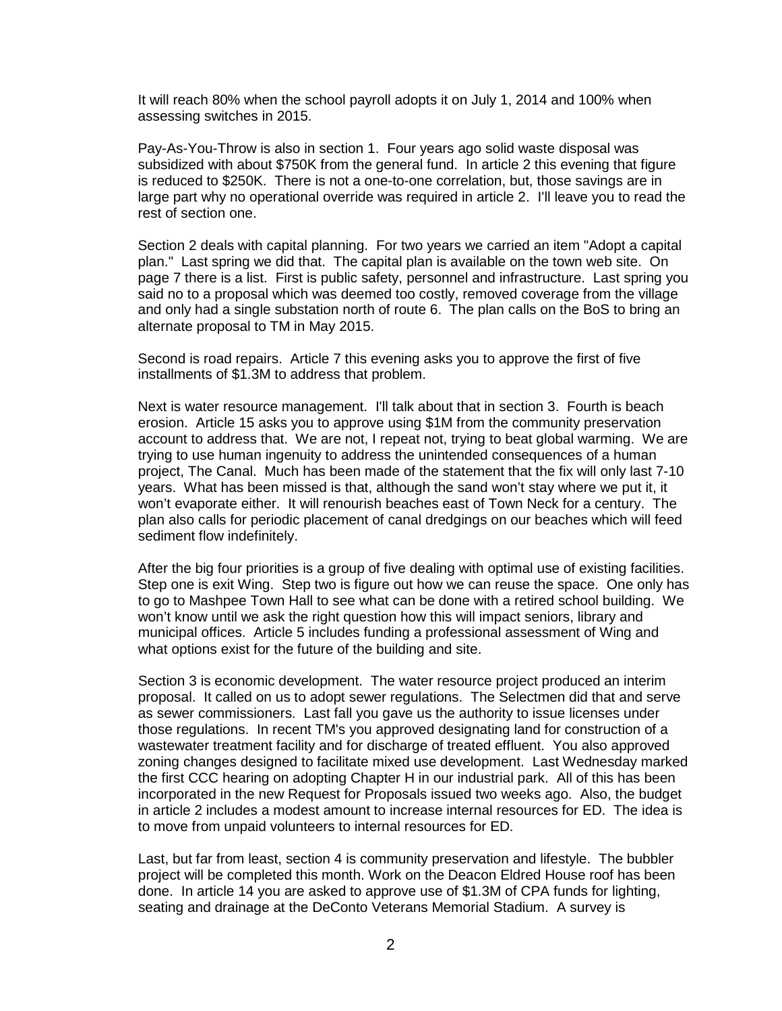It will reach 80% when the school payroll adopts it on July 1, 2014 and 100% when assessing switches in 2015.

Pay-As-You-Throw is also in section 1. Four years ago solid waste disposal was subsidized with about \$750K from the general fund. In article 2 this evening that figure is reduced to \$250K. There is not a one-to-one correlation, but, those savings are in large part why no operational override was required in article 2. I'll leave you to read the rest of section one.

Section 2 deals with capital planning. For two years we carried an item "Adopt a capital plan." Last spring we did that. The capital plan is available on the town web site. On page 7 there is a list. First is public safety, personnel and infrastructure. Last spring you said no to a proposal which was deemed too costly, removed coverage from the village and only had a single substation north of route 6. The plan calls on the BoS to bring an alternate proposal to TM in May 2015.

Second is road repairs. Article 7 this evening asks you to approve the first of five installments of \$1.3M to address that problem.

Next is water resource management. I'll talk about that in section 3. Fourth is beach erosion. Article 15 asks you to approve using \$1M from the community preservation account to address that. We are not, I repeat not, trying to beat global warming. We are trying to use human ingenuity to address the unintended consequences of a human project, The Canal. Much has been made of the statement that the fix will only last 7-10 years. What has been missed is that, although the sand won't stay where we put it, it won't evaporate either. It will renourish beaches east of Town Neck for a century. The plan also calls for periodic placement of canal dredgings on our beaches which will feed sediment flow indefinitely.

After the big four priorities is a group of five dealing with optimal use of existing facilities. Step one is exit Wing. Step two is figure out how we can reuse the space. One only has to go to Mashpee Town Hall to see what can be done with a retired school building. We won't know until we ask the right question how this will impact seniors, library and municipal offices. Article 5 includes funding a professional assessment of Wing and what options exist for the future of the building and site.

Section 3 is economic development. The water resource project produced an interim proposal. It called on us to adopt sewer regulations. The Selectmen did that and serve as sewer commissioners. Last fall you gave us the authority to issue licenses under those regulations. In recent TM's you approved designating land for construction of a wastewater treatment facility and for discharge of treated effluent. You also approved zoning changes designed to facilitate mixed use development. Last Wednesday marked the first CCC hearing on adopting Chapter H in our industrial park. All of this has been incorporated in the new Request for Proposals issued two weeks ago. Also, the budget in article 2 includes a modest amount to increase internal resources for ED. The idea is to move from unpaid volunteers to internal resources for ED.

Last, but far from least, section 4 is community preservation and lifestyle. The bubbler project will be completed this month. Work on the Deacon Eldred House roof has been done. In article 14 you are asked to approve use of \$1.3M of CPA funds for lighting, seating and drainage at the DeConto Veterans Memorial Stadium. A survey is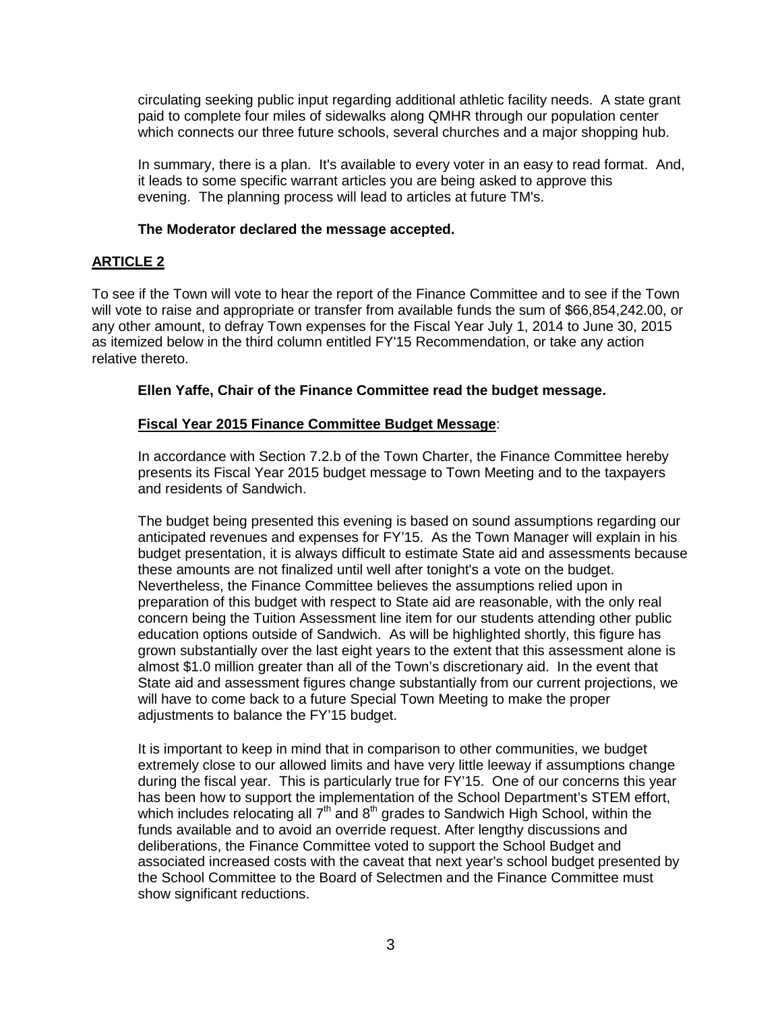circulating seeking public input regarding additional athletic facility needs. A state grant paid to complete four miles of sidewalks along QMHR through our population center which connects our three future schools, several churches and a major shopping hub.

In summary, there is a plan. It's available to every voter in an easy to read format. And, it leads to some specific warrant articles you are being asked to approve this evening. The planning process will lead to articles at future TM's.

## **The Moderator declared the message accepted.**

# **ARTICLE 2**

To see if the Town will vote to hear the report of the Finance Committee and to see if the Town will vote to raise and appropriate or transfer from available funds the sum of \$66,854,242.00, or any other amount, to defray Town expenses for the Fiscal Year July 1, 2014 to June 30, 2015 as itemized below in the third column entitled FY'15 Recommendation, or take any action relative thereto.

**Ellen Yaffe, Chair of the Finance Committee read the budget message.**

# **Fiscal Year 2015 Finance Committee Budget Message**:

In accordance with Section 7.2.b of the Town Charter, the Finance Committee hereby presents its Fiscal Year 2015 budget message to Town Meeting and to the taxpayers and residents of Sandwich.

The budget being presented this evening is based on sound assumptions regarding our anticipated revenues and expenses for FY'15. As the Town Manager will explain in his budget presentation, it is always difficult to estimate State aid and assessments because these amounts are not finalized until well after tonight's a vote on the budget. Nevertheless, the Finance Committee believes the assumptions relied upon in preparation of this budget with respect to State aid are reasonable, with the only real concern being the Tuition Assessment line item for our students attending other public education options outside of Sandwich. As will be highlighted shortly, this figure has grown substantially over the last eight years to the extent that this assessment alone is almost \$1.0 million greater than all of the Town's discretionary aid. In the event that State aid and assessment figures change substantially from our current projections, we will have to come back to a future Special Town Meeting to make the proper adjustments to balance the FY'15 budget.

It is important to keep in mind that in comparison to other communities, we budget extremely close to our allowed limits and have very little leeway if assumptions change during the fiscal year. This is particularly true for FY'15. One of our concerns this year has been how to support the implementation of the School Department's STEM effort, which includes relocating all  $7<sup>th</sup>$  and  $8<sup>th</sup>$  grades to Sandwich High School, within the funds available and to avoid an override request. After lengthy discussions and deliberations, the Finance Committee voted to support the School Budget and associated increased costs with the caveat that next year's school budget presented by the School Committee to the Board of Selectmen and the Finance Committee must show significant reductions.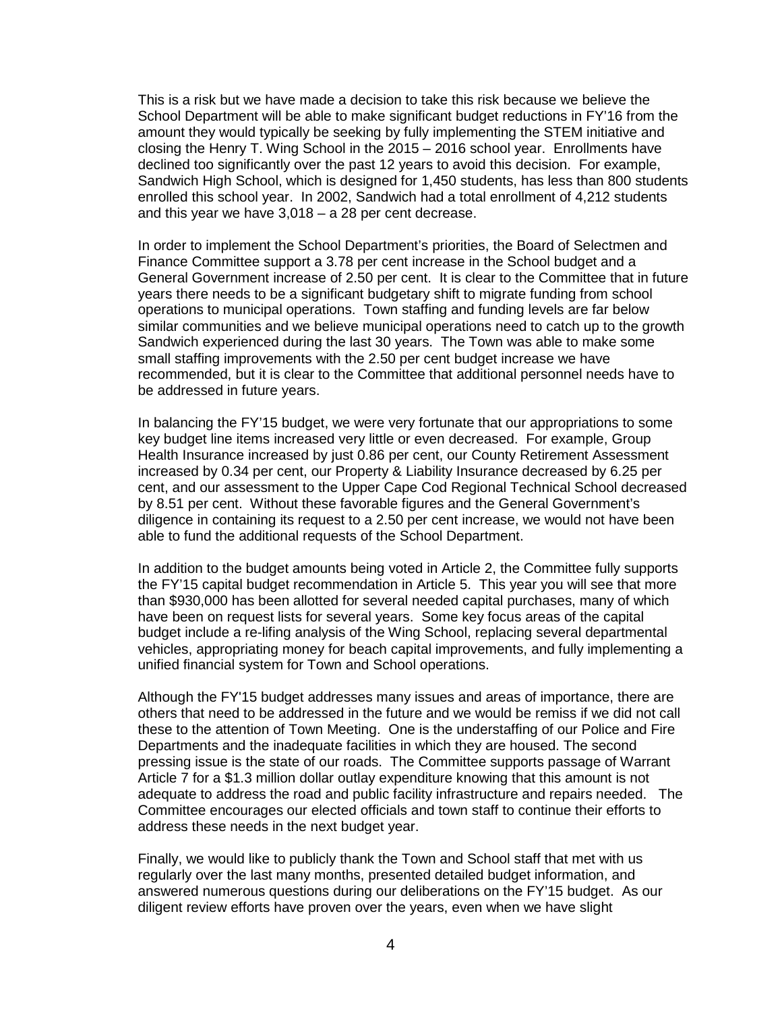This is a risk but we have made a decision to take this risk because we believe the School Department will be able to make significant budget reductions in FY'16 from the amount they would typically be seeking by fully implementing the STEM initiative and closing the Henry T. Wing School in the 2015 – 2016 school year. Enrollments have declined too significantly over the past 12 years to avoid this decision. For example, Sandwich High School, which is designed for 1,450 students, has less than 800 students enrolled this school year. In 2002, Sandwich had a total enrollment of 4,212 students and this year we have 3,018 – a 28 per cent decrease.

In order to implement the School Department's priorities, the Board of Selectmen and Finance Committee support a 3.78 per cent increase in the School budget and a General Government increase of 2.50 per cent. It is clear to the Committee that in future years there needs to be a significant budgetary shift to migrate funding from school operations to municipal operations. Town staffing and funding levels are far below similar communities and we believe municipal operations need to catch up to the growth Sandwich experienced during the last 30 years. The Town was able to make some small staffing improvements with the 2.50 per cent budget increase we have recommended, but it is clear to the Committee that additional personnel needs have to be addressed in future years.

In balancing the FY'15 budget, we were very fortunate that our appropriations to some key budget line items increased very little or even decreased. For example, Group Health Insurance increased by just 0.86 per cent, our County Retirement Assessment increased by 0.34 per cent, our Property & Liability Insurance decreased by 6.25 per cent, and our assessment to the Upper Cape Cod Regional Technical School decreased by 8.51 per cent. Without these favorable figures and the General Government's diligence in containing its request to a 2.50 per cent increase, we would not have been able to fund the additional requests of the School Department.

In addition to the budget amounts being voted in Article 2, the Committee fully supports the FY'15 capital budget recommendation in Article 5. This year you will see that more than \$930,000 has been allotted for several needed capital purchases, many of which have been on request lists for several years. Some key focus areas of the capital budget include a re-lifing analysis of the Wing School, replacing several departmental vehicles, appropriating money for beach capital improvements, and fully implementing a unified financial system for Town and School operations.

Although the FY'15 budget addresses many issues and areas of importance, there are others that need to be addressed in the future and we would be remiss if we did not call these to the attention of Town Meeting. One is the understaffing of our Police and Fire Departments and the inadequate facilities in which they are housed. The second pressing issue is the state of our roads. The Committee supports passage of Warrant Article 7 for a \$1.3 million dollar outlay expenditure knowing that this amount is not adequate to address the road and public facility infrastructure and repairs needed. The Committee encourages our elected officials and town staff to continue their efforts to address these needs in the next budget year.

Finally, we would like to publicly thank the Town and School staff that met with us regularly over the last many months, presented detailed budget information, and answered numerous questions during our deliberations on the FY'15 budget. As our diligent review efforts have proven over the years, even when we have slight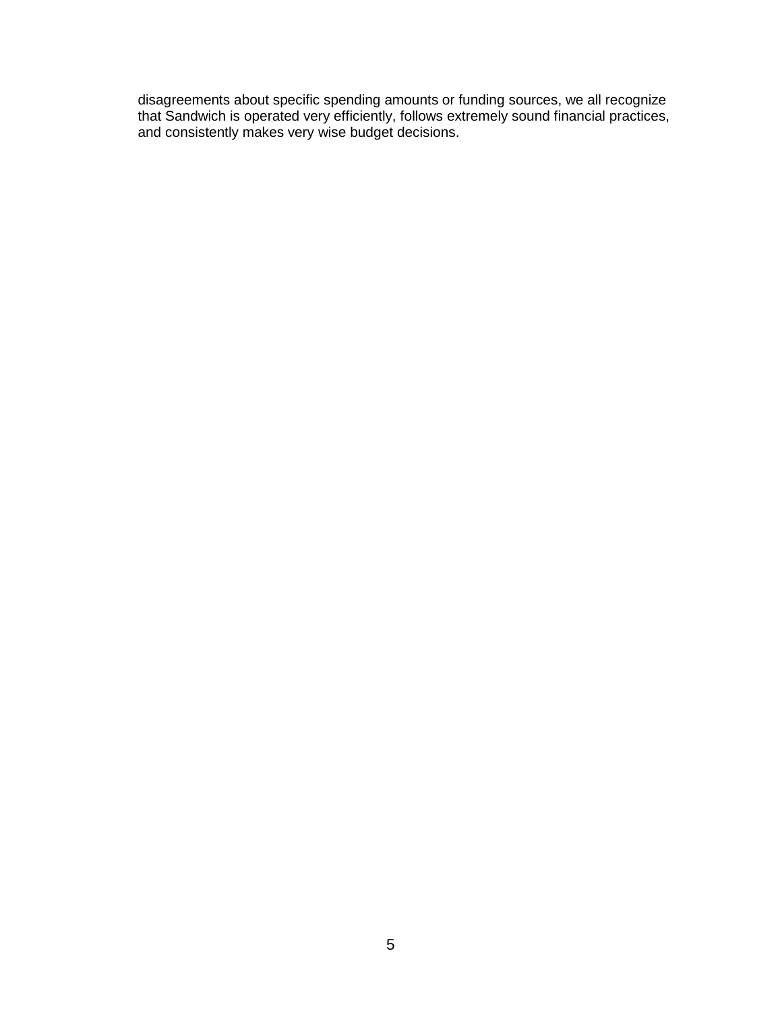disagreements about specific spending amounts or funding sources, we all recognize that Sandwich is operated very efficiently, follows extremely sound financial practices, and consistently makes very wise budget decisions.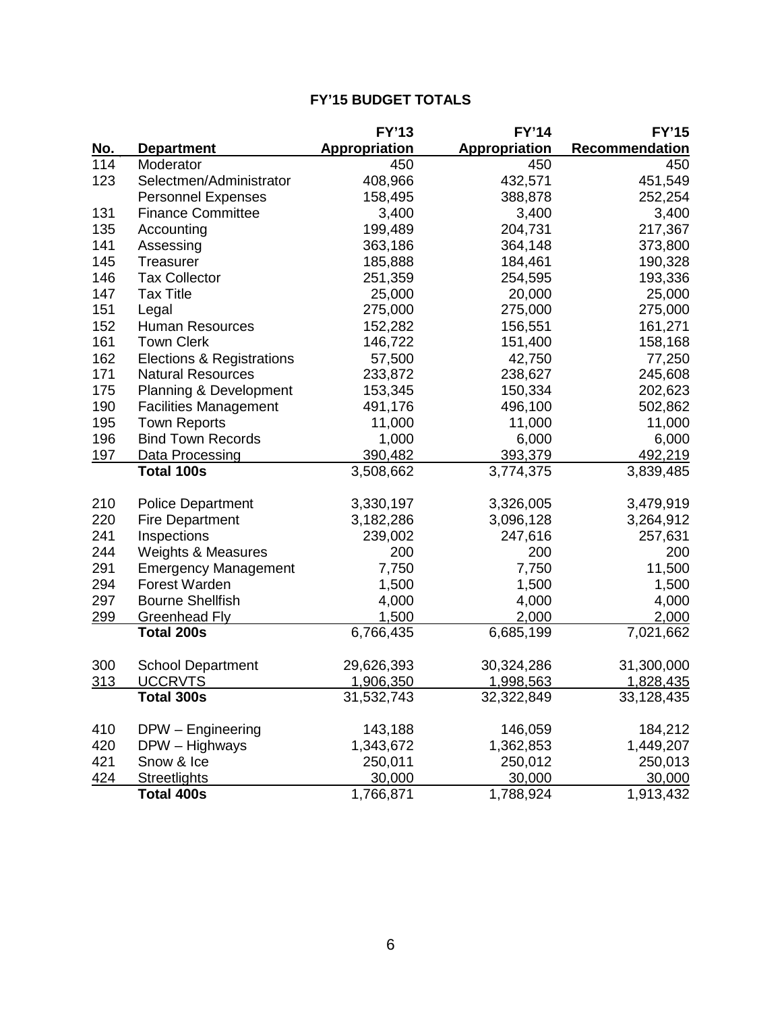|            |                                   | <b>FY'13</b>  | <b>FY'14</b>         | <b>FY'15</b>   |
|------------|-----------------------------------|---------------|----------------------|----------------|
| <u>No.</u> | <b>Department</b>                 | Appropriation | <b>Appropriation</b> | Recommendation |
| 114        | Moderator                         | 450           | 450                  | 450            |
| 123        | Selectmen/Administrator           | 408,966       | 432,571              | 451,549        |
|            | <b>Personnel Expenses</b>         | 158,495       | 388,878              | 252,254        |
| 131        | <b>Finance Committee</b>          | 3,400         | 3,400                | 3,400          |
| 135        | Accounting                        | 199,489       | 204,731              | 217,367        |
| 141        | Assessing                         | 363,186       | 364,148              | 373,800        |
| 145        | <b>Treasurer</b>                  | 185,888       | 184,461              | 190,328        |
| 146        | <b>Tax Collector</b>              | 251,359       | 254,595              | 193,336        |
| 147        | <b>Tax Title</b>                  | 25,000        | 20,000               | 25,000         |
| 151        | Legal                             | 275,000       | 275,000              | 275,000        |
| 152        | <b>Human Resources</b>            | 152,282       | 156,551              | 161,271        |
| 161        | <b>Town Clerk</b>                 | 146,722       | 151,400              | 158,168        |
| 162        | Elections & Registrations         | 57,500        | 42,750               | 77,250         |
| 171        | <b>Natural Resources</b>          | 233,872       | 238,627              | 245,608        |
| 175        | <b>Planning &amp; Development</b> | 153,345       | 150,334              | 202,623        |
| 190        | <b>Facilities Management</b>      | 491,176       | 496,100              | 502,862        |
| 195        | <b>Town Reports</b>               | 11,000        | 11,000               | 11,000         |
| 196        | <b>Bind Town Records</b>          | 1,000         | 6,000                | 6,000          |
| 197        | Data Processing                   | 390,482       | 393,379              | 492,219        |
|            | <b>Total 100s</b>                 | 3,508,662     | 3,774,375            | 3,839,485      |
|            |                                   |               |                      |                |
| 210        | <b>Police Department</b>          | 3,330,197     | 3,326,005            | 3,479,919      |
| 220        | <b>Fire Department</b>            | 3,182,286     | 3,096,128            | 3,264,912      |
| 241        | Inspections                       | 239,002       | 247,616              | 257,631        |
| 244        | <b>Weights &amp; Measures</b>     | 200           | 200                  | 200            |
| 291        | <b>Emergency Management</b>       | 7,750         | 7,750                | 11,500         |
| 294        | Forest Warden                     | 1,500         | 1,500                | 1,500          |
| 297        | <b>Bourne Shellfish</b>           | 4,000         | 4,000                | 4,000          |
| 299        | <b>Greenhead Fly</b>              | 1,500         | 2,000                | 2,000          |
|            | <b>Total 200s</b>                 | 6,766,435     | 6,685,199            | 7,021,662      |
| 300        | <b>School Department</b>          | 29,626,393    | 30,324,286           | 31,300,000     |
| 313        | <b>UCCRVTS</b>                    | 1,906,350     | 1,998,563            | 1,828,435      |
|            | <b>Total 300s</b>                 | 31,532,743    | 32,322,849           | 33,128,435     |
|            |                                   |               |                      |                |
| 410        | DPW - Engineering                 | 143,188       | 146,059              | 184,212        |
| 420        | DPW - Highways                    | 1,343,672     | 1,362,853            | 1,449,207      |
| 421        | Snow & Ice                        | 250,011       | 250,012              | 250,013        |
| 424        | <b>Streetlights</b>               | 30,000        | 30,000               | 30,000         |
|            | Total 400s                        | 1,766,871     | 1,788,924            | 1,913,432      |

# **FY'15 BUDGET TOTALS**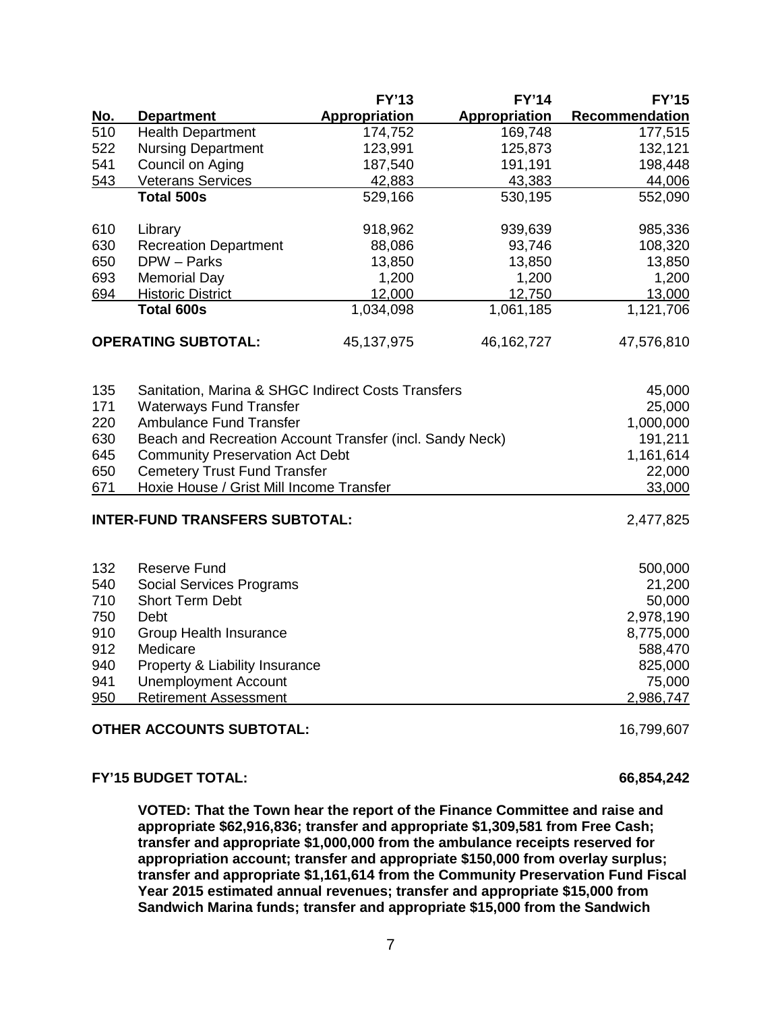|            |                                                          | <b>FY'13</b>         | <b>FY'14</b>         | <b>FY'15</b>          |
|------------|----------------------------------------------------------|----------------------|----------------------|-----------------------|
| <u>No.</u> | <b>Department</b>                                        | <b>Appropriation</b> | <b>Appropriation</b> | <b>Recommendation</b> |
| 510        | <b>Health Department</b>                                 | 174,752              | 169,748              | 177,515               |
| 522        | <b>Nursing Department</b>                                | 123,991              | 125,873              | 132,121               |
| 541        | Council on Aging                                         | 187,540              | 191,191              | 198,448               |
| 543        | <b>Veterans Services</b>                                 | 42,883               | 43,383               | 44,006                |
|            | <b>Total 500s</b>                                        | 529,166              | 530,195              | 552,090               |
| 610        | Library                                                  | 918,962              | 939,639              | 985,336               |
| 630        | <b>Recreation Department</b>                             | 88,086               | 93,746               | 108,320               |
| 650        | DPW - Parks                                              | 13,850               | 13,850               | 13,850                |
| 693        | <b>Memorial Day</b>                                      | 1,200                | 1,200                | 1,200                 |
| 694        | <b>Historic District</b>                                 | 12,000               | 12,750               | 13,000                |
|            | <b>Total 600s</b>                                        | 1,034,098            | 1,061,185            | 1,121,706             |
|            | <b>OPERATING SUBTOTAL:</b>                               | 45,137,975           | 46, 162, 727         | 47,576,810            |
| 135        | Sanitation, Marina & SHGC Indirect Costs Transfers       |                      |                      | 45,000                |
| 171        | <b>Waterways Fund Transfer</b>                           |                      |                      | 25,000                |
| 220        | <b>Ambulance Fund Transfer</b>                           |                      |                      | 1,000,000             |
| 630        | Beach and Recreation Account Transfer (incl. Sandy Neck) |                      |                      | 191,211               |
| 645        | <b>Community Preservation Act Debt</b>                   |                      |                      | 1,161,614             |
| 650        | <b>Cemetery Trust Fund Transfer</b>                      |                      |                      | 22,000                |
| 671        | Hoxie House / Grist Mill Income Transfer                 |                      |                      | 33,000                |
|            | <b>INTER-FUND TRANSFERS SUBTOTAL:</b>                    |                      |                      | 2,477,825             |
| 132        | <b>Reserve Fund</b>                                      |                      |                      | 500,000               |
| 540        | <b>Social Services Programs</b>                          |                      |                      | 21,200                |
| 710        | <b>Short Term Debt</b>                                   |                      |                      | 50,000                |
| 750        | Debt                                                     |                      |                      | 2,978,190             |
| 910        | Group Health Insurance                                   |                      |                      | 8,775,000             |
| 912        | Medicare                                                 |                      |                      | 588,470               |
| 940        | Property & Liability Insurance                           |                      |                      | 825,000               |
| 941        | <b>Unemployment Account</b>                              |                      |                      | 75,000                |
| 950        | <b>Retirement Assessment</b>                             |                      |                      | 2,986,747             |
|            | <b>OTHER ACCOUNTS SUBTOTAL:</b>                          |                      |                      | 16,799,607            |

#### **FY'15 BUDGET TOTAL: 66,854,242**

**VOTED: That the Town hear the report of the Finance Committee and raise and appropriate \$62,916,836; transfer and appropriate \$1,309,581 from Free Cash; transfer and appropriate \$1,000,000 from the ambulance receipts reserved for appropriation account; transfer and appropriate \$150,000 from overlay surplus; transfer and appropriate \$1,161,614 from the Community Preservation Fund Fiscal Year 2015 estimated annual revenues; transfer and appropriate \$15,000 from Sandwich Marina funds; transfer and appropriate \$15,000 from the Sandwich**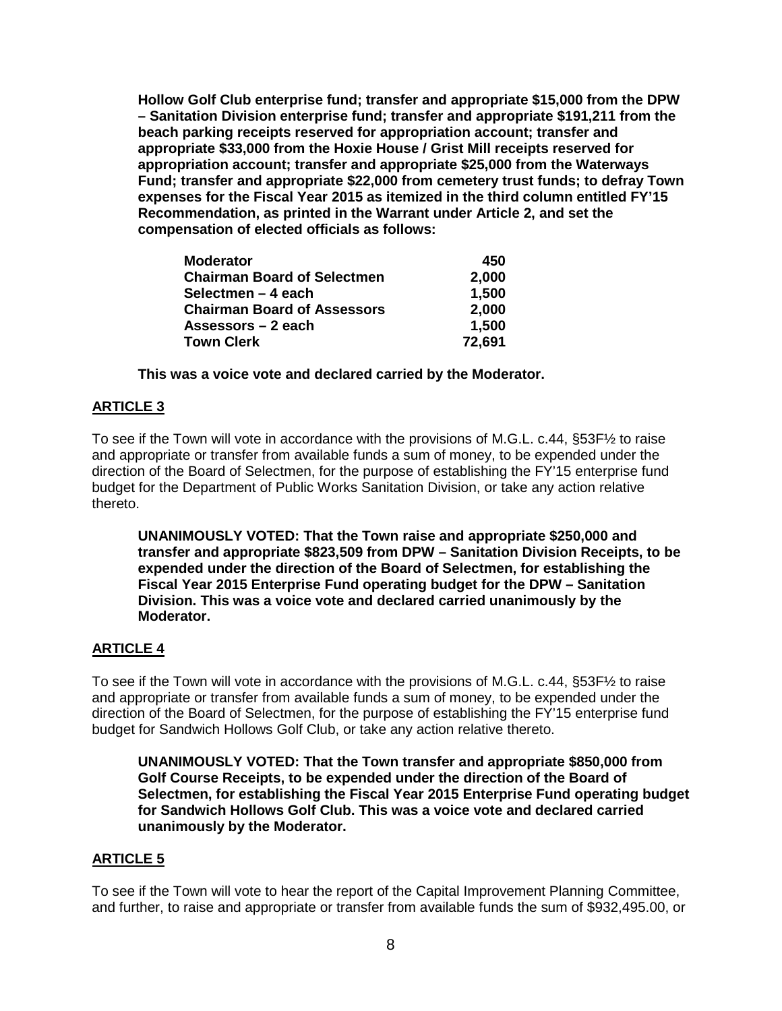**Hollow Golf Club enterprise fund; transfer and appropriate \$15,000 from the DPW – Sanitation Division enterprise fund; transfer and appropriate \$191,211 from the beach parking receipts reserved for appropriation account; transfer and appropriate \$33,000 from the Hoxie House / Grist Mill receipts reserved for appropriation account; transfer and appropriate \$25,000 from the Waterways Fund; transfer and appropriate \$22,000 from cemetery trust funds; to defray Town expenses for the Fiscal Year 2015 as itemized in the third column entitled FY'15 Recommendation, as printed in the Warrant under Article 2, and set the compensation of elected officials as follows:**

| <b>Moderator</b>                   | 450    |
|------------------------------------|--------|
| <b>Chairman Board of Selectmen</b> | 2,000  |
| Selectmen – 4 each                 | 1,500  |
| <b>Chairman Board of Assessors</b> | 2,000  |
| Assessors – 2 each                 | 1,500  |
| <b>Town Clerk</b>                  | 72,691 |

**This was a voice vote and declared carried by the Moderator.**

## **ARTICLE 3**

To see if the Town will vote in accordance with the provisions of M.G.L. c.44, §53F½ to raise and appropriate or transfer from available funds a sum of money, to be expended under the direction of the Board of Selectmen, for the purpose of establishing the FY'15 enterprise fund budget for the Department of Public Works Sanitation Division, or take any action relative thereto.

**UNANIMOUSLY VOTED: That the Town raise and appropriate \$250,000 and transfer and appropriate \$823,509 from DPW – Sanitation Division Receipts, to be expended under the direction of the Board of Selectmen, for establishing the Fiscal Year 2015 Enterprise Fund operating budget for the DPW – Sanitation Division. This was a voice vote and declared carried unanimously by the Moderator.**

## **ARTICLE 4**

To see if the Town will vote in accordance with the provisions of M.G.L. c.44, §53F½ to raise and appropriate or transfer from available funds a sum of money, to be expended under the direction of the Board of Selectmen, for the purpose of establishing the FY'15 enterprise fund budget for Sandwich Hollows Golf Club, or take any action relative thereto.

**UNANIMOUSLY VOTED: That the Town transfer and appropriate \$850,000 from Golf Course Receipts, to be expended under the direction of the Board of Selectmen, for establishing the Fiscal Year 2015 Enterprise Fund operating budget for Sandwich Hollows Golf Club. This was a voice vote and declared carried unanimously by the Moderator.**

## **ARTICLE 5**

To see if the Town will vote to hear the report of the Capital Improvement Planning Committee, and further, to raise and appropriate or transfer from available funds the sum of \$932,495.00, or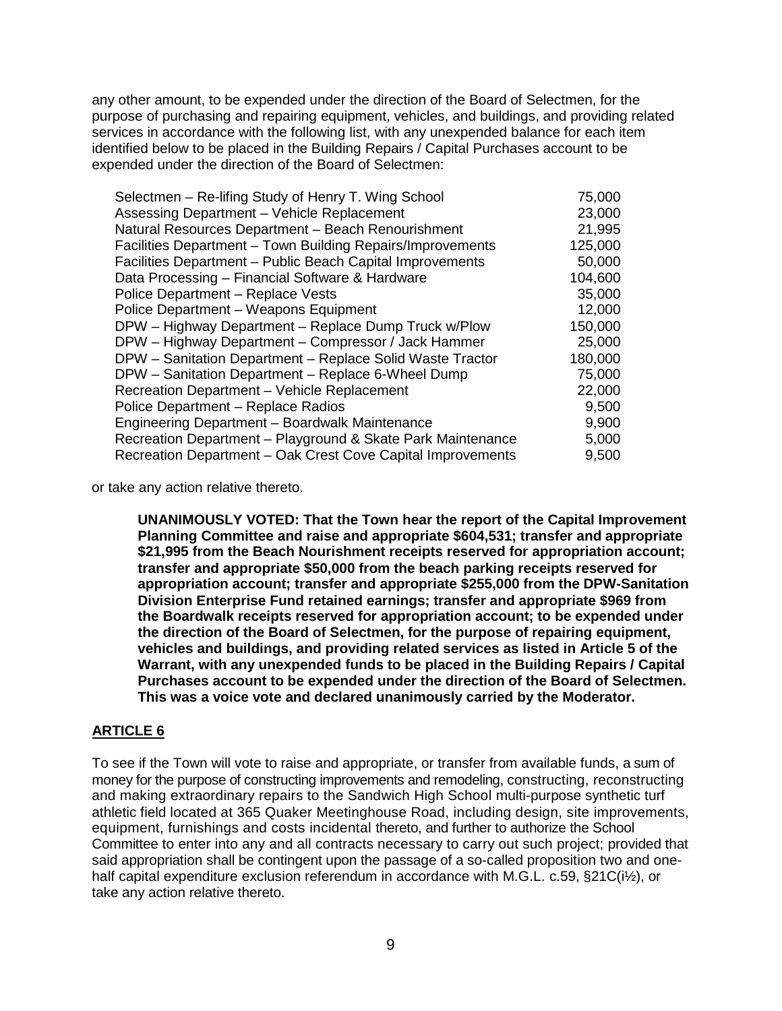any other amount, to be expended under the direction of the Board of Selectmen, for the purpose of purchasing and repairing equipment, vehicles, and buildings, and providing related services in accordance with the following list, with any unexpended balance for each item identified below to be placed in the Building Repairs / Capital Purchases account to be expended under the direction of the Board of Selectmen:

| Selectmen - Re-lifing Study of Henry T. Wing School         | 75,000  |
|-------------------------------------------------------------|---------|
| Assessing Department - Vehicle Replacement                  | 23,000  |
| Natural Resources Department - Beach Renourishment          | 21,995  |
| Facilities Department - Town Building Repairs/Improvements  | 125,000 |
| Facilities Department - Public Beach Capital Improvements   | 50,000  |
| Data Processing - Financial Software & Hardware             | 104,600 |
| Police Department - Replace Vests                           | 35,000  |
| Police Department - Weapons Equipment                       | 12,000  |
| DPW - Highway Department - Replace Dump Truck w/Plow        | 150,000 |
| DPW - Highway Department - Compressor / Jack Hammer         | 25,000  |
| DPW - Sanitation Department - Replace Solid Waste Tractor   | 180,000 |
| DPW - Sanitation Department - Replace 6-Wheel Dump          | 75,000  |
| Recreation Department - Vehicle Replacement                 | 22,000  |
| Police Department - Replace Radios                          | 9,500   |
| Engineering Department - Boardwalk Maintenance              | 9,900   |
| Recreation Department - Playground & Skate Park Maintenance | 5,000   |
| Recreation Department - Oak Crest Cove Capital Improvements | 9,500   |
|                                                             |         |

or take any action relative thereto.

**UNANIMOUSLY VOTED: That the Town hear the report of the Capital Improvement Planning Committee and raise and appropriate \$604,531; transfer and appropriate \$21,995 from the Beach Nourishment receipts reserved for appropriation account; transfer and appropriate \$50,000 from the beach parking receipts reserved for appropriation account; transfer and appropriate \$255,000 from the DPW-Sanitation Division Enterprise Fund retained earnings; transfer and appropriate \$969 from the Boardwalk receipts reserved for appropriation account; to be expended under the direction of the Board of Selectmen, for the purpose of repairing equipment, vehicles and buildings, and providing related services as listed in Article 5 of the Warrant, with any unexpended funds to be placed in the Building Repairs / Capital Purchases account to be expended under the direction of the Board of Selectmen. This was a voice vote and declared unanimously carried by the Moderator.**

# **ARTICLE 6**

To see if the Town will vote to raise and appropriate, or transfer from available funds, a sum of money for the purpose of constructing improvements and remodeling, constructing, reconstructing and making extraordinary repairs to the Sandwich High School multi-purpose synthetic turf athletic field located at 365 Quaker Meetinghouse Road, including design, site improvements, equipment, furnishings and costs incidental thereto, and further to authorize the School Committee to enter into any and all contracts necessary to carry out such project; provided that said appropriation shall be contingent upon the passage of a so-called proposition two and onehalf capital expenditure exclusion referendum in accordance with M.G.L. c.59, §21C(i<sup>1</sup>/<sub>2</sub>), or take any action relative thereto.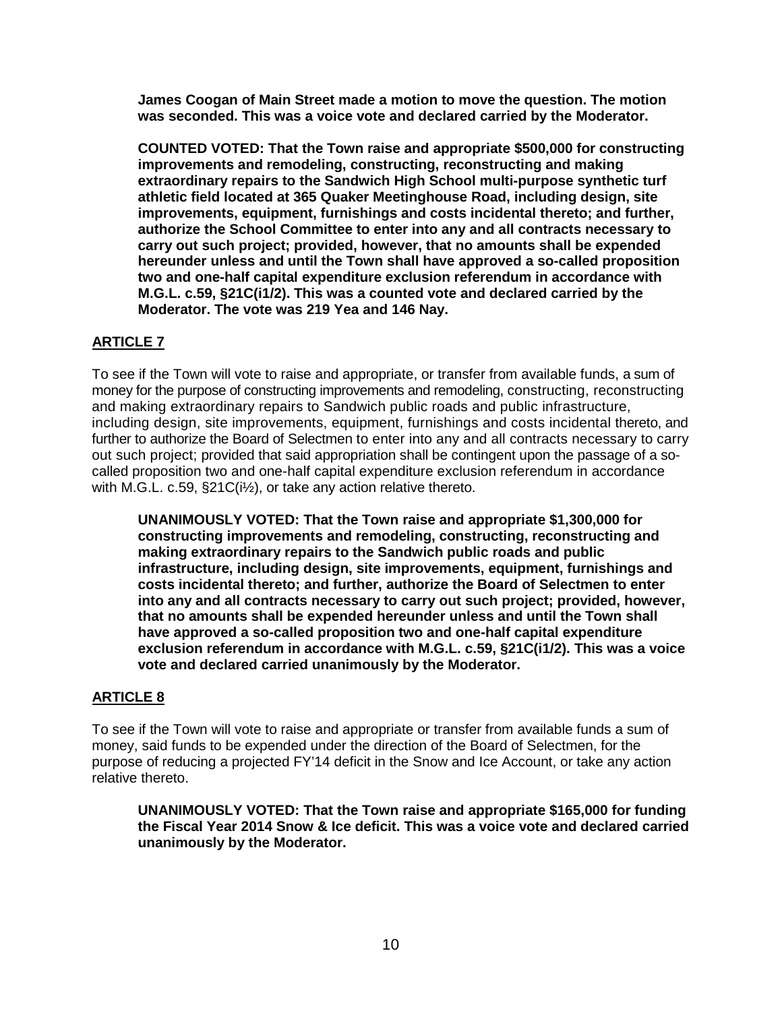**James Coogan of Main Street made a motion to move the question. The motion was seconded. This was a voice vote and declared carried by the Moderator.**

**COUNTED VOTED: That the Town raise and appropriate \$500,000 for constructing improvements and remodeling, constructing, reconstructing and making extraordinary repairs to the Sandwich High School multi-purpose synthetic turf athletic field located at 365 Quaker Meetinghouse Road, including design, site improvements, equipment, furnishings and costs incidental thereto; and further, authorize the School Committee to enter into any and all contracts necessary to carry out such project; provided, however, that no amounts shall be expended hereunder unless and until the Town shall have approved a so-called proposition two and one-half capital expenditure exclusion referendum in accordance with M.G.L. c.59, §21C(i1/2). This was a counted vote and declared carried by the Moderator. The vote was 219 Yea and 146 Nay.**

# **ARTICLE 7**

To see if the Town will vote to raise and appropriate, or transfer from available funds, a sum of money for the purpose of constructing improvements and remodeling, constructing, reconstructing and making extraordinary repairs to Sandwich public roads and public infrastructure, including design, site improvements, equipment, furnishings and costs incidental thereto, and further to authorize the Board of Selectmen to enter into any and all contracts necessary to carry out such project; provided that said appropriation shall be contingent upon the passage of a socalled proposition two and one-half capital expenditure exclusion referendum in accordance with M.G.L. c.59, §21C(i½), or take any action relative thereto.

**UNANIMOUSLY VOTED: That the Town raise and appropriate \$1,300,000 for constructing improvements and remodeling, constructing, reconstructing and making extraordinary repairs to the Sandwich public roads and public infrastructure, including design, site improvements, equipment, furnishings and costs incidental thereto; and further, authorize the Board of Selectmen to enter into any and all contracts necessary to carry out such project; provided, however, that no amounts shall be expended hereunder unless and until the Town shall have approved a so-called proposition two and one-half capital expenditure exclusion referendum in accordance with M.G.L. c.59, §21C(i1/2). This was a voice vote and declared carried unanimously by the Moderator.**

# **ARTICLE 8**

To see if the Town will vote to raise and appropriate or transfer from available funds a sum of money, said funds to be expended under the direction of the Board of Selectmen, for the purpose of reducing a projected FY'14 deficit in the Snow and Ice Account, or take any action relative thereto.

**UNANIMOUSLY VOTED: That the Town raise and appropriate \$165,000 for funding the Fiscal Year 2014 Snow & Ice deficit. This was a voice vote and declared carried unanimously by the Moderator.**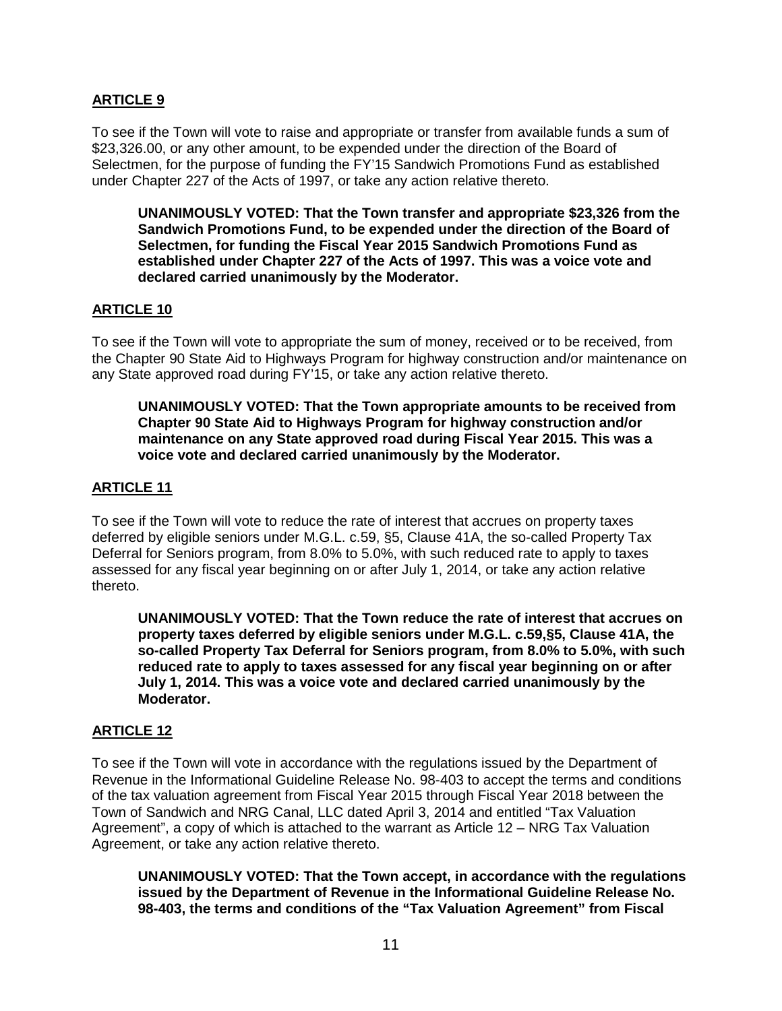# **ARTICLE 9**

To see if the Town will vote to raise and appropriate or transfer from available funds a sum of \$23,326.00, or any other amount, to be expended under the direction of the Board of Selectmen, for the purpose of funding the FY'15 Sandwich Promotions Fund as established under Chapter 227 of the Acts of 1997, or take any action relative thereto.

**UNANIMOUSLY VOTED: That the Town transfer and appropriate \$23,326 from the Sandwich Promotions Fund, to be expended under the direction of the Board of Selectmen, for funding the Fiscal Year 2015 Sandwich Promotions Fund as established under Chapter 227 of the Acts of 1997. This was a voice vote and declared carried unanimously by the Moderator.**

## **ARTICLE 10**

To see if the Town will vote to appropriate the sum of money, received or to be received, from the Chapter 90 State Aid to Highways Program for highway construction and/or maintenance on any State approved road during FY'15, or take any action relative thereto.

**UNANIMOUSLY VOTED: That the Town appropriate amounts to be received from Chapter 90 State Aid to Highways Program for highway construction and/or maintenance on any State approved road during Fiscal Year 2015. This was a voice vote and declared carried unanimously by the Moderator.**

## **ARTICLE 11**

To see if the Town will vote to reduce the rate of interest that accrues on property taxes deferred by eligible seniors under M.G.L. c.59, §5, Clause 41A, the so-called Property Tax Deferral for Seniors program, from 8.0% to 5.0%, with such reduced rate to apply to taxes assessed for any fiscal year beginning on or after July 1, 2014, or take any action relative thereto.

**UNANIMOUSLY VOTED: That the Town reduce the rate of interest that accrues on property taxes deferred by eligible seniors under M.G.L. c.59,§5, Clause 41A, the so-called Property Tax Deferral for Seniors program, from 8.0% to 5.0%, with such reduced rate to apply to taxes assessed for any fiscal year beginning on or after July 1, 2014. This was a voice vote and declared carried unanimously by the Moderator.**

## **ARTICLE 12**

To see if the Town will vote in accordance with the regulations issued by the Department of Revenue in the Informational Guideline Release No. 98-403 to accept the terms and conditions of the tax valuation agreement from Fiscal Year 2015 through Fiscal Year 2018 between the Town of Sandwich and NRG Canal, LLC dated April 3, 2014 and entitled "Tax Valuation Agreement", a copy of which is attached to the warrant as Article 12 – NRG Tax Valuation Agreement, or take any action relative thereto.

**UNANIMOUSLY VOTED: That the Town accept, in accordance with the regulations issued by the Department of Revenue in the Informational Guideline Release No. 98-403, the terms and conditions of the "Tax Valuation Agreement" from Fiscal**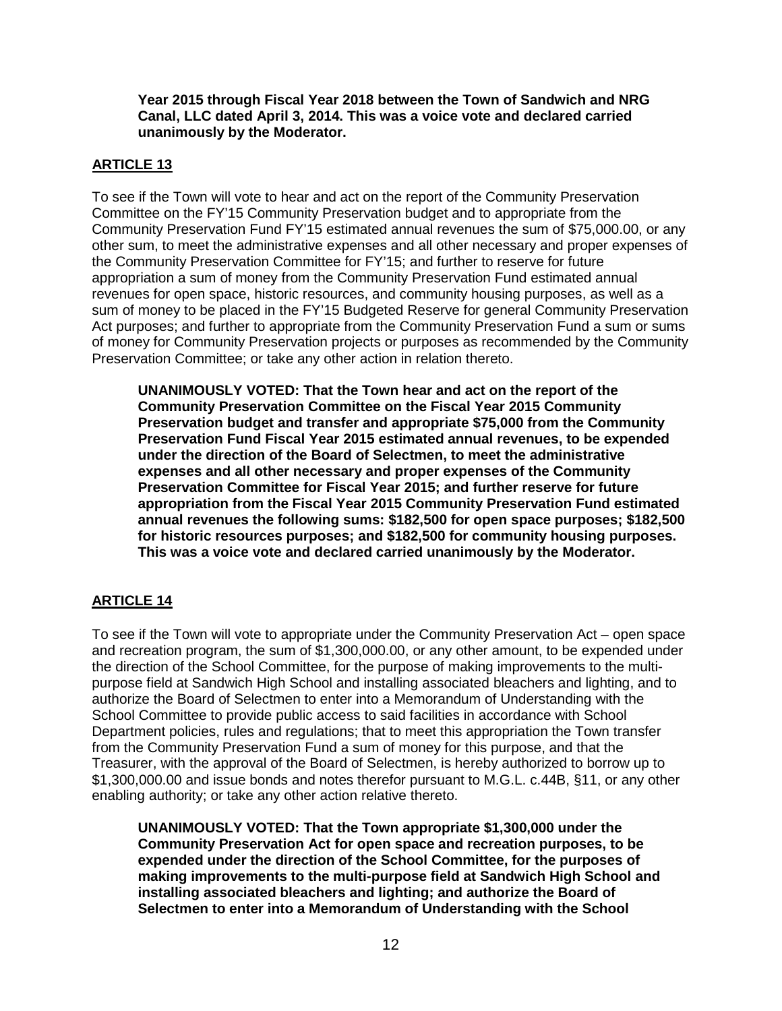**Year 2015 through Fiscal Year 2018 between the Town of Sandwich and NRG Canal, LLC dated April 3, 2014. This was a voice vote and declared carried unanimously by the Moderator.**

# **ARTICLE 13**

To see if the Town will vote to hear and act on the report of the Community Preservation Committee on the FY'15 Community Preservation budget and to appropriate from the Community Preservation Fund FY'15 estimated annual revenues the sum of \$75,000.00, or any other sum, to meet the administrative expenses and all other necessary and proper expenses of the Community Preservation Committee for FY'15; and further to reserve for future appropriation a sum of money from the Community Preservation Fund estimated annual revenues for open space, historic resources, and community housing purposes, as well as a sum of money to be placed in the FY'15 Budgeted Reserve for general Community Preservation Act purposes; and further to appropriate from the Community Preservation Fund a sum or sums of money for Community Preservation projects or purposes as recommended by the Community Preservation Committee; or take any other action in relation thereto.

**UNANIMOUSLY VOTED: That the Town hear and act on the report of the Community Preservation Committee on the Fiscal Year 2015 Community Preservation budget and transfer and appropriate \$75,000 from the Community Preservation Fund Fiscal Year 2015 estimated annual revenues, to be expended under the direction of the Board of Selectmen, to meet the administrative expenses and all other necessary and proper expenses of the Community Preservation Committee for Fiscal Year 2015; and further reserve for future appropriation from the Fiscal Year 2015 Community Preservation Fund estimated annual revenues the following sums: \$182,500 for open space purposes; \$182,500 for historic resources purposes; and \$182,500 for community housing purposes. This was a voice vote and declared carried unanimously by the Moderator.**

# **ARTICLE 14**

To see if the Town will vote to appropriate under the Community Preservation Act – open space and recreation program, the sum of \$1,300,000.00, or any other amount, to be expended under the direction of the School Committee, for the purpose of making improvements to the multipurpose field at Sandwich High School and installing associated bleachers and lighting, and to authorize the Board of Selectmen to enter into a Memorandum of Understanding with the School Committee to provide public access to said facilities in accordance with School Department policies, rules and regulations; that to meet this appropriation the Town transfer from the Community Preservation Fund a sum of money for this purpose, and that the Treasurer, with the approval of the Board of Selectmen, is hereby authorized to borrow up to \$1,300,000.00 and issue bonds and notes therefor pursuant to M.G.L. c.44B, §11, or any other enabling authority; or take any other action relative thereto.

**UNANIMOUSLY VOTED: That the Town appropriate \$1,300,000 under the Community Preservation Act for open space and recreation purposes, to be expended under the direction of the School Committee, for the purposes of making improvements to the multi-purpose field at Sandwich High School and installing associated bleachers and lighting; and authorize the Board of Selectmen to enter into a Memorandum of Understanding with the School**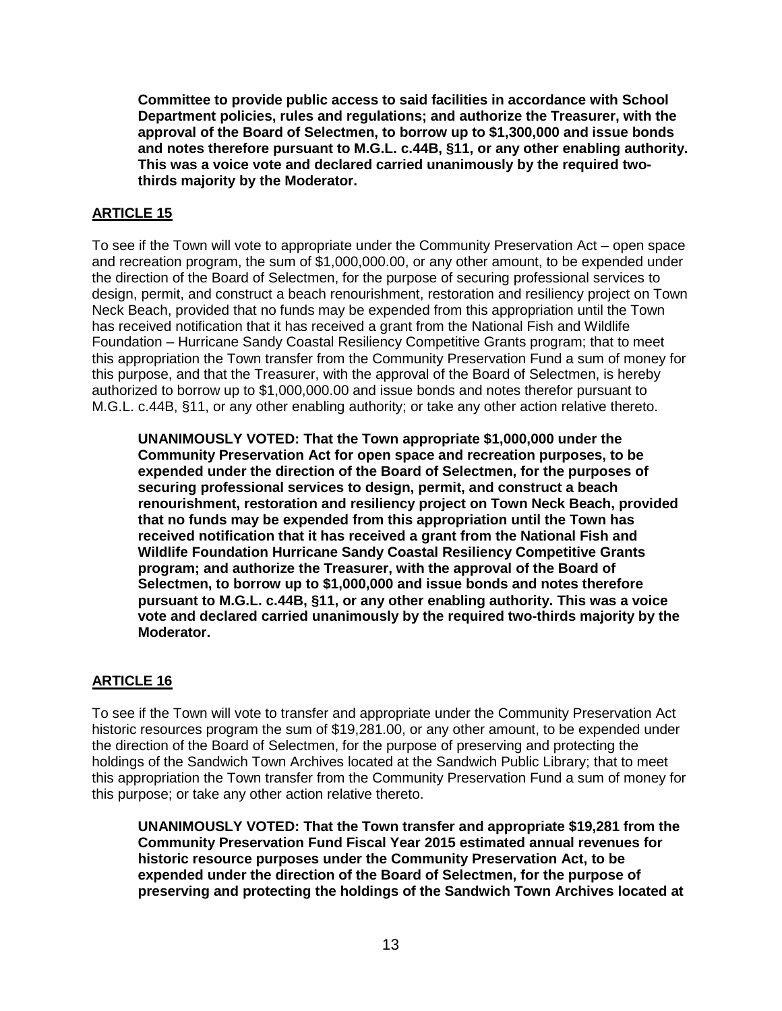**Committee to provide public access to said facilities in accordance with School Department policies, rules and regulations; and authorize the Treasurer, with the approval of the Board of Selectmen, to borrow up to \$1,300,000 and issue bonds and notes therefore pursuant to M.G.L. c.44B, §11, or any other enabling authority. This was a voice vote and declared carried unanimously by the required twothirds majority by the Moderator.**

# **ARTICLE 15**

To see if the Town will vote to appropriate under the Community Preservation Act – open space and recreation program, the sum of \$1,000,000.00, or any other amount, to be expended under the direction of the Board of Selectmen, for the purpose of securing professional services to design, permit, and construct a beach renourishment, restoration and resiliency project on Town Neck Beach, provided that no funds may be expended from this appropriation until the Town has received notification that it has received a grant from the National Fish and Wildlife Foundation – Hurricane Sandy Coastal Resiliency Competitive Grants program; that to meet this appropriation the Town transfer from the Community Preservation Fund a sum of money for this purpose, and that the Treasurer, with the approval of the Board of Selectmen, is hereby authorized to borrow up to \$1,000,000.00 and issue bonds and notes therefor pursuant to M.G.L. c.44B, §11, or any other enabling authority; or take any other action relative thereto.

**UNANIMOUSLY VOTED: That the Town appropriate \$1,000,000 under the Community Preservation Act for open space and recreation purposes, to be expended under the direction of the Board of Selectmen, for the purposes of securing professional services to design, permit, and construct a beach renourishment, restoration and resiliency project on Town Neck Beach, provided that no funds may be expended from this appropriation until the Town has received notification that it has received a grant from the National Fish and Wildlife Foundation Hurricane Sandy Coastal Resiliency Competitive Grants program; and authorize the Treasurer, with the approval of the Board of Selectmen, to borrow up to \$1,000,000 and issue bonds and notes therefore pursuant to M.G.L. c.44B, §11, or any other enabling authority. This was a voice vote and declared carried unanimously by the required two-thirds majority by the Moderator.**

# **ARTICLE 16**

To see if the Town will vote to transfer and appropriate under the Community Preservation Act historic resources program the sum of \$19,281.00, or any other amount, to be expended under the direction of the Board of Selectmen, for the purpose of preserving and protecting the holdings of the Sandwich Town Archives located at the Sandwich Public Library; that to meet this appropriation the Town transfer from the Community Preservation Fund a sum of money for this purpose; or take any other action relative thereto.

**UNANIMOUSLY VOTED: That the Town transfer and appropriate \$19,281 from the Community Preservation Fund Fiscal Year 2015 estimated annual revenues for historic resource purposes under the Community Preservation Act, to be expended under the direction of the Board of Selectmen, for the purpose of preserving and protecting the holdings of the Sandwich Town Archives located at**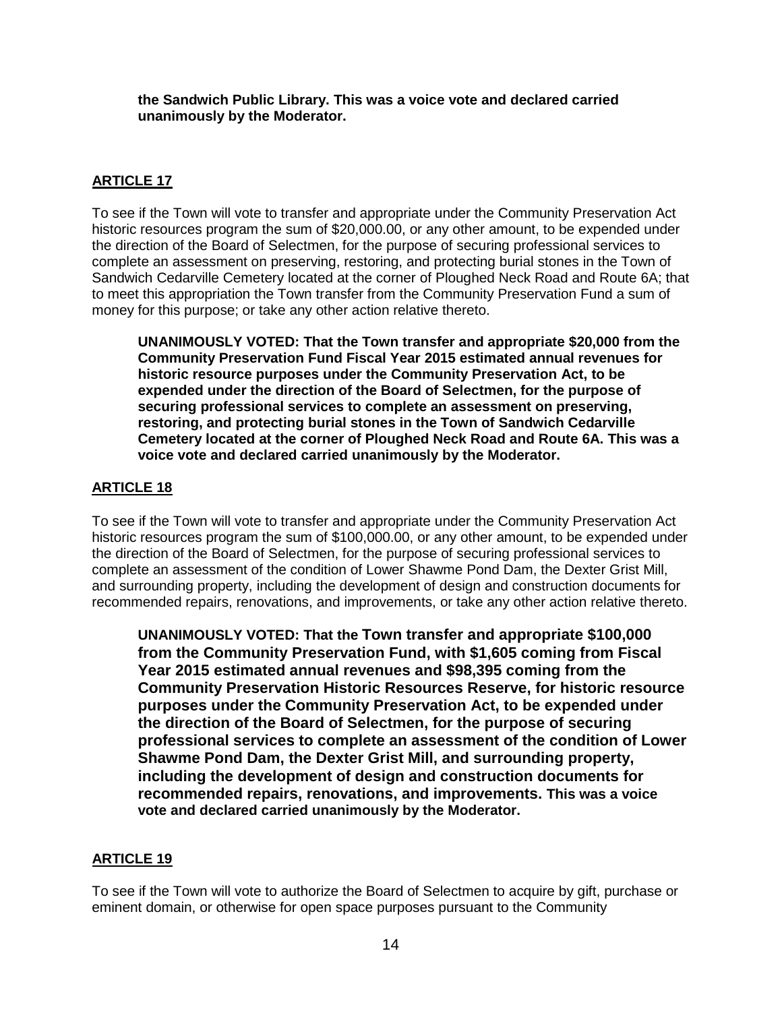**the Sandwich Public Library. This was a voice vote and declared carried unanimously by the Moderator.**

# **ARTICLE 17**

To see if the Town will vote to transfer and appropriate under the Community Preservation Act historic resources program the sum of \$20,000.00, or any other amount, to be expended under the direction of the Board of Selectmen, for the purpose of securing professional services to complete an assessment on preserving, restoring, and protecting burial stones in the Town of Sandwich Cedarville Cemetery located at the corner of Ploughed Neck Road and Route 6A; that to meet this appropriation the Town transfer from the Community Preservation Fund a sum of money for this purpose; or take any other action relative thereto.

**UNANIMOUSLY VOTED: That the Town transfer and appropriate \$20,000 from the Community Preservation Fund Fiscal Year 2015 estimated annual revenues for historic resource purposes under the Community Preservation Act, to be expended under the direction of the Board of Selectmen, for the purpose of securing professional services to complete an assessment on preserving, restoring, and protecting burial stones in the Town of Sandwich Cedarville Cemetery located at the corner of Ploughed Neck Road and Route 6A. This was a voice vote and declared carried unanimously by the Moderator.**

# **ARTICLE 18**

To see if the Town will vote to transfer and appropriate under the Community Preservation Act historic resources program the sum of \$100,000.00, or any other amount, to be expended under the direction of the Board of Selectmen, for the purpose of securing professional services to complete an assessment of the condition of Lower Shawme Pond Dam, the Dexter Grist Mill, and surrounding property, including the development of design and construction documents for recommended repairs, renovations, and improvements, or take any other action relative thereto.

**UNANIMOUSLY VOTED: That the Town transfer and appropriate \$100,000 from the Community Preservation Fund, with \$1,605 coming from Fiscal Year 2015 estimated annual revenues and \$98,395 coming from the Community Preservation Historic Resources Reserve, for historic resource purposes under the Community Preservation Act, to be expended under the direction of the Board of Selectmen, for the purpose of securing professional services to complete an assessment of the condition of Lower Shawme Pond Dam, the Dexter Grist Mill, and surrounding property, including the development of design and construction documents for recommended repairs, renovations, and improvements. This was a voice vote and declared carried unanimously by the Moderator.**

# **ARTICLE 19**

To see if the Town will vote to authorize the Board of Selectmen to acquire by gift, purchase or eminent domain, or otherwise for open space purposes pursuant to the Community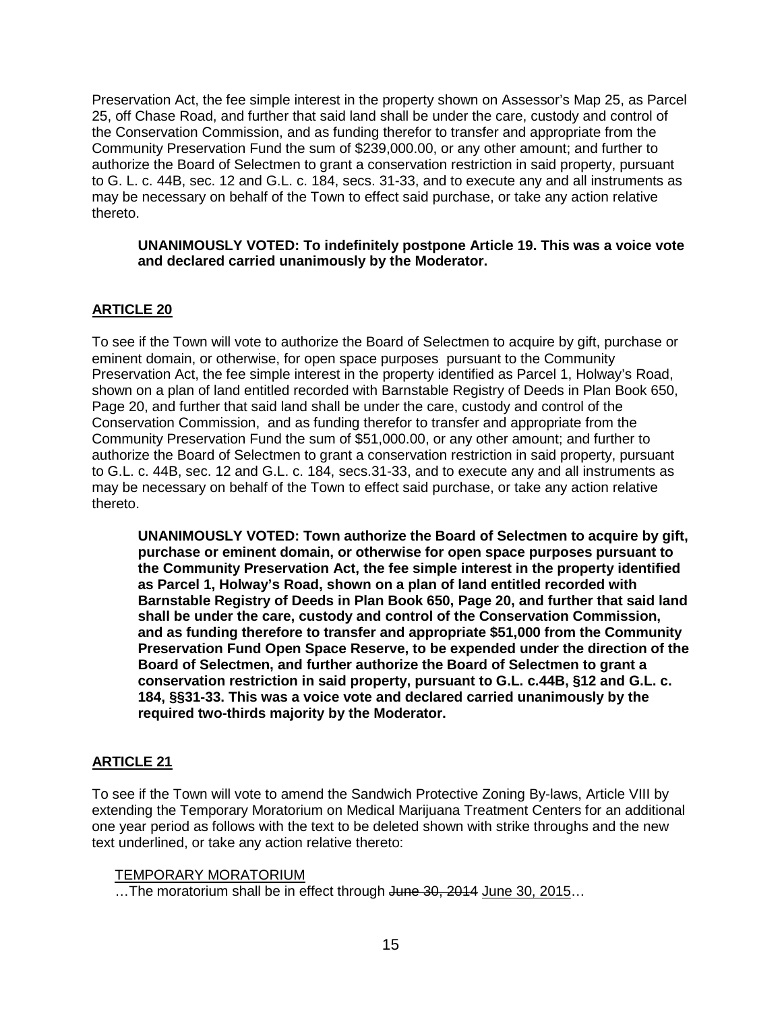Preservation Act, the fee simple interest in the property shown on Assessor's Map 25, as Parcel 25, off Chase Road, and further that said land shall be under the care, custody and control of the Conservation Commission, and as funding therefor to transfer and appropriate from the Community Preservation Fund the sum of \$239,000.00, or any other amount; and further to authorize the Board of Selectmen to grant a conservation restriction in said property, pursuant to G. L. c. 44B, sec. 12 and G.L. c. 184, secs. 31-33, and to execute any and all instruments as may be necessary on behalf of the Town to effect said purchase, or take any action relative thereto.

### **UNANIMOUSLY VOTED: To indefinitely postpone Article 19. This was a voice vote and declared carried unanimously by the Moderator.**

# **ARTICLE 20**

To see if the Town will vote to authorize the Board of Selectmen to acquire by gift, purchase or eminent domain, or otherwise, for open space purposes pursuant to the Community Preservation Act, the fee simple interest in the property identified as Parcel 1, Holway's Road, shown on a plan of land entitled recorded with Barnstable Registry of Deeds in Plan Book 650, Page 20, and further that said land shall be under the care, custody and control of the Conservation Commission, and as funding therefor to transfer and appropriate from the Community Preservation Fund the sum of \$51,000.00, or any other amount; and further to authorize the Board of Selectmen to grant a conservation restriction in said property, pursuant to G.L. c. 44B, sec. 12 and G.L. c. 184, secs.31-33, and to execute any and all instruments as may be necessary on behalf of the Town to effect said purchase, or take any action relative thereto.

**UNANIMOUSLY VOTED: Town authorize the Board of Selectmen to acquire by gift, purchase or eminent domain, or otherwise for open space purposes pursuant to the Community Preservation Act, the fee simple interest in the property identified as Parcel 1, Holway's Road, shown on a plan of land entitled recorded with Barnstable Registry of Deeds in Plan Book 650, Page 20, and further that said land shall be under the care, custody and control of the Conservation Commission, and as funding therefore to transfer and appropriate \$51,000 from the Community Preservation Fund Open Space Reserve, to be expended under the direction of the Board of Selectmen, and further authorize the Board of Selectmen to grant a conservation restriction in said property, pursuant to G.L. c.44B, §12 and G.L. c. 184, §§31-33. This was a voice vote and declared carried unanimously by the required two-thirds majority by the Moderator.**

# **ARTICLE 21**

To see if the Town will vote to amend the Sandwich Protective Zoning By-laws, Article VIII by extending the Temporary Moratorium on Medical Marijuana Treatment Centers for an additional one year period as follows with the text to be deleted shown with strike throughs and the new text underlined, or take any action relative thereto:

#### TEMPORARY MORATORIUM

... The moratorium shall be in effect through June 30, 2014 June 30, 2015...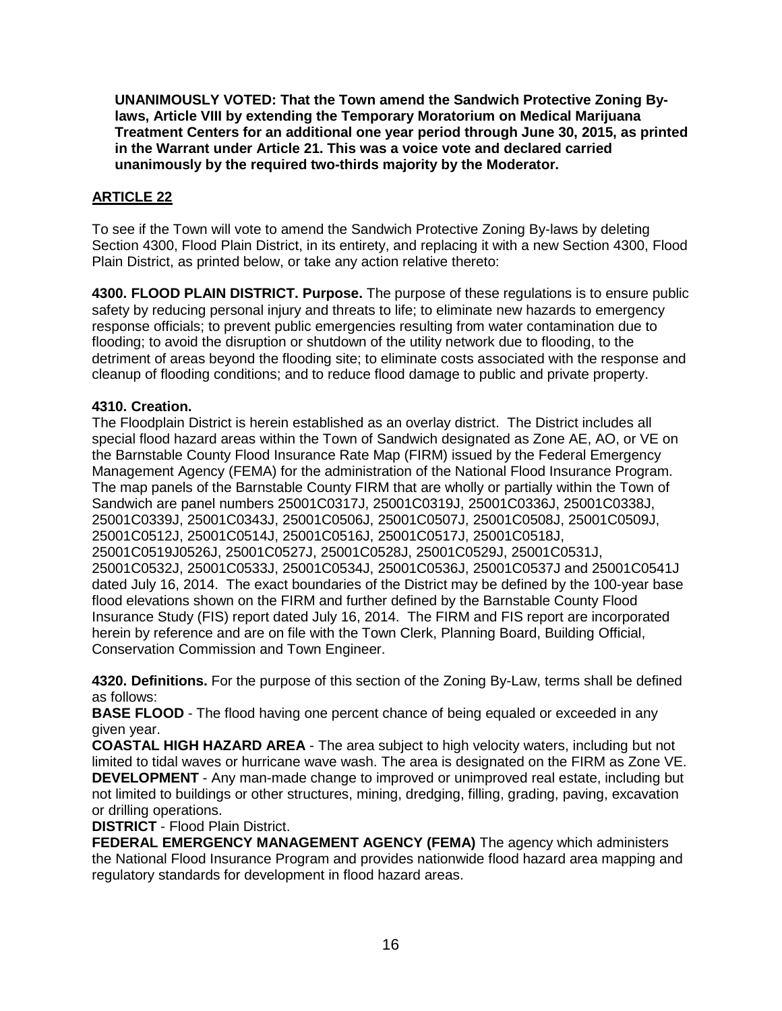**UNANIMOUSLY VOTED: That the Town amend the Sandwich Protective Zoning Bylaws, Article VIII by extending the Temporary Moratorium on Medical Marijuana Treatment Centers for an additional one year period through June 30, 2015, as printed in the Warrant under Article 21. This was a voice vote and declared carried unanimously by the required two-thirds majority by the Moderator.**

# **ARTICLE 22**

To see if the Town will vote to amend the Sandwich Protective Zoning By-laws by deleting Section 4300, Flood Plain District, in its entirety, and replacing it with a new Section 4300, Flood Plain District, as printed below, or take any action relative thereto:

**4300. FLOOD PLAIN DISTRICT. Purpose.** The purpose of these regulations is to ensure public safety by reducing personal injury and threats to life; to eliminate new hazards to emergency response officials; to prevent public emergencies resulting from water contamination due to flooding; to avoid the disruption or shutdown of the utility network due to flooding, to the detriment of areas beyond the flooding site; to eliminate costs associated with the response and cleanup of flooding conditions; and to reduce flood damage to public and private property.

## **4310. Creation.**

The Floodplain District is herein established as an overlay district. The District includes all special flood hazard areas within the Town of Sandwich designated as Zone AE, AO, or VE on the Barnstable County Flood Insurance Rate Map (FIRM) issued by the Federal Emergency Management Agency (FEMA) for the administration of the National Flood Insurance Program. The map panels of the Barnstable County FIRM that are wholly or partially within the Town of Sandwich are panel numbers 25001C0317J, 25001C0319J, 25001C0336J, 25001C0338J, 25001C0339J, 25001C0343J, 25001C0506J, 25001C0507J, 25001C0508J, 25001C0509J, 25001C0512J, 25001C0514J, 25001C0516J, 25001C0517J, 25001C0518J, 25001C0519J0526J, 25001C0527J, 25001C0528J, 25001C0529J, 25001C0531J, 25001C0532J, 25001C0533J, 25001C0534J, 25001C0536J, 25001C0537J and 25001C0541J dated July 16, 2014. The exact boundaries of the District may be defined by the 100-year base flood elevations shown on the FIRM and further defined by the Barnstable County Flood Insurance Study (FIS) report dated July 16, 2014. The FIRM and FIS report are incorporated herein by reference and are on file with the Town Clerk, Planning Board, Building Official, Conservation Commission and Town Engineer.

**4320. Definitions.** For the purpose of this section of the Zoning By-Law, terms shall be defined as follows:

**BASE FLOOD** - The flood having one percent chance of being equaled or exceeded in any given year.

**COASTAL HIGH HAZARD AREA** - The area subject to high velocity waters, including but not limited to tidal waves or hurricane wave wash. The area is designated on the FIRM as Zone VE. **DEVELOPMENT** - Any man-made change to improved or unimproved real estate, including but not limited to buildings or other structures, mining, dredging, filling, grading, paving, excavation or drilling operations.

**DISTRICT** - Flood Plain District.

**FEDERAL EMERGENCY MANAGEMENT AGENCY (FEMA)** The agency which administers the National Flood Insurance Program and provides nationwide flood hazard area mapping and regulatory standards for development in flood hazard areas.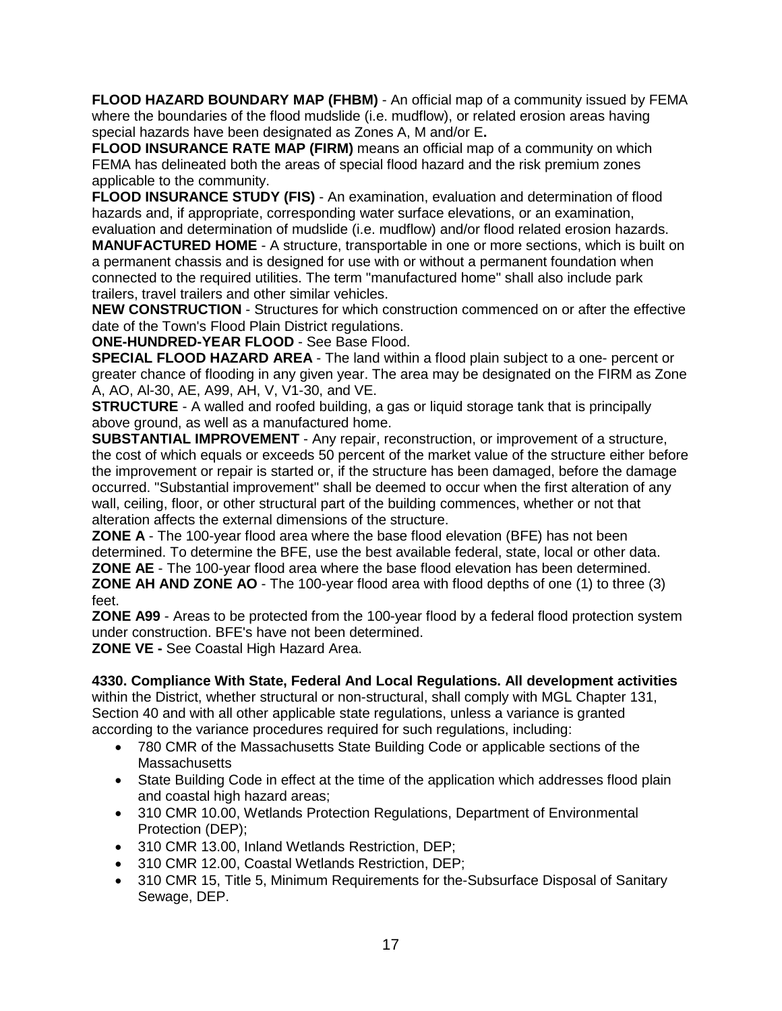**FLOOD HAZARD BOUNDARY MAP (FHBM)** - An official map of a community issued by FEMA where the boundaries of the flood mudslide (i.e. mudflow), or related erosion areas having special hazards have been designated as Zones A, M and/or E**.**

**FLOOD INSURANCE RATE MAP (FIRM)** means an official map of a community on which FEMA has delineated both the areas of special flood hazard and the risk premium zones applicable to the community.

**FLOOD INSURANCE STUDY (FIS)** - An examination, evaluation and determination of flood hazards and, if appropriate, corresponding water surface elevations, or an examination, evaluation and determination of mudslide (i.e. mudflow) and/or flood related erosion hazards.

**MANUFACTURED HOME** - A structure, transportable in one or more sections, which is built on a permanent chassis and is designed for use with or without a permanent foundation when connected to the required utilities. The term "manufactured home" shall also include park trailers, travel trailers and other similar vehicles.

**NEW CONSTRUCTION** - Structures for which construction commenced on or after the effective date of the Town's Flood Plain District regulations.

**ONE-HUNDRED-YEAR FLOOD** - See Base Flood.

**SPECIAL FLOOD HAZARD AREA** - The land within a flood plain subject to a one- percent or greater chance of flooding in any given year. The area may be designated on the FIRM as Zone A, AO, Al-30, AE, A99, AH, V, V1-30, and VE.

**STRUCTURE** - A walled and roofed building, a gas or liquid storage tank that is principally above ground, as well as a manufactured home.

**SUBSTANTIAL IMPROVEMENT** - Any repair, reconstruction, or improvement of a structure, the cost of which equals or exceeds 50 percent of the market value of the structure either before the improvement or repair is started or, if the structure has been damaged, before the damage occurred. "Substantial improvement" shall be deemed to occur when the first alteration of any wall, ceiling, floor, or other structural part of the building commences, whether or not that alteration affects the external dimensions of the structure.

**ZONE A** - The 100-year flood area where the base flood elevation (BFE) has not been determined. To determine the BFE, use the best available federal, state, local or other data. **ZONE AE** - The 100-year flood area where the base flood elevation has been determined. **ZONE AH AND ZONE AO** - The 100-year flood area with flood depths of one (1) to three (3) feet.

**ZONE A99** - Areas to be protected from the 100-year flood by a federal flood protection system under construction. BFE's have not been determined.

**ZONE VE -** See Coastal High Hazard Area.

# **4330. Compliance With State, Federal And Local Regulations. All development activities**

within the District, whether structural or non-structural, shall comply with MGL Chapter 131, Section 40 and with all other applicable state regulations, unless a variance is granted according to the variance procedures required for such regulations, including:

- 780 CMR of the Massachusetts State Building Code or applicable sections of the **Massachusetts**
- State Building Code in effect at the time of the application which addresses flood plain and coastal high hazard areas;
- 310 CMR 10.00, Wetlands Protection Regulations, Department of Environmental Protection (DEP);
- 310 CMR 13.00, Inland Wetlands Restriction, DEP;
- 310 CMR 12.00, Coastal Wetlands Restriction, DEP;
- 310 CMR 15, Title 5, Minimum Requirements for the-Subsurface Disposal of Sanitary Sewage, DEP.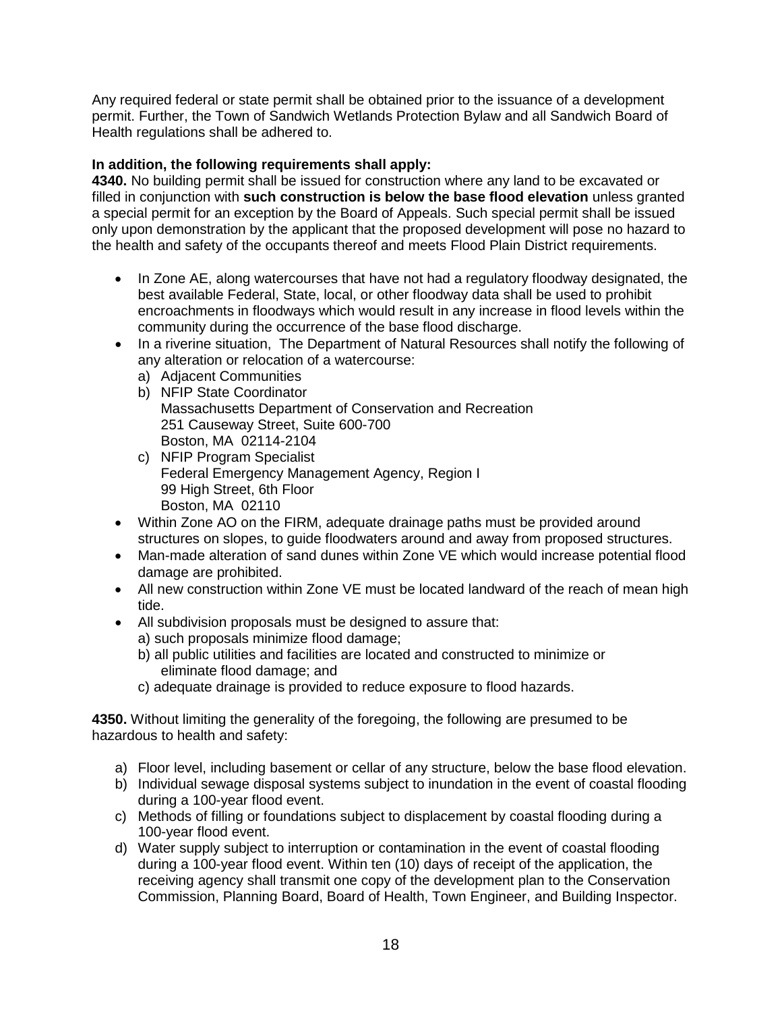Any required federal or state permit shall be obtained prior to the issuance of a development permit. Further, the Town of Sandwich Wetlands Protection Bylaw and all Sandwich Board of Health regulations shall be adhered to.

## **In addition, the following requirements shall apply:**

**4340.** No building permit shall be issued for construction where any land to be excavated or filled in conjunction with **such construction is below the base flood elevation** unless granted a special permit for an exception by the Board of Appeals. Such special permit shall be issued only upon demonstration by the applicant that the proposed development will pose no hazard to the health and safety of the occupants thereof and meets Flood Plain District requirements.

- In Zone AE, along watercourses that have not had a regulatory floodway designated, the best available Federal, State, local, or other floodway data shall be used to prohibit encroachments in floodways which would result in any increase in flood levels within the community during the occurrence of the base flood discharge.
- In a riverine situation, The Department of Natural Resources shall notify the following of any alteration or relocation of a watercourse:
	- a) Adjacent Communities
	- b) NFIP State Coordinator Massachusetts Department of Conservation and Recreation 251 Causeway Street, Suite 600-700 Boston, MA 02114-2104
	- c) NFIP Program Specialist Federal Emergency Management Agency, Region I 99 High Street, 6th Floor Boston, MA 02110
- Within Zone AO on the FIRM, adequate drainage paths must be provided around structures on slopes, to guide floodwaters around and away from proposed structures.
- Man-made alteration of sand dunes within Zone VE which would increase potential flood damage are prohibited.
- All new construction within Zone VE must be located landward of the reach of mean high tide.
- All subdivision proposals must be designed to assure that:
	- a) such proposals minimize flood damage;
	- b) all public utilities and facilities are located and constructed to minimize or eliminate flood damage; and
	- c) adequate drainage is provided to reduce exposure to flood hazards.

**4350.** Without limiting the generality of the foregoing, the following are presumed to be hazardous to health and safety:

- a) Floor level, including basement or cellar of any structure, below the base flood elevation.
- b) Individual sewage disposal systems subject to inundation in the event of coastal flooding during a 100-year flood event.
- c) Methods of filling or foundations subject to displacement by coastal flooding during a 100-year flood event.
- d) Water supply subject to interruption or contamination in the event of coastal flooding during a 100-year flood event. Within ten (10) days of receipt of the application, the receiving agency shall transmit one copy of the development plan to the Conservation Commission, Planning Board, Board of Health, Town Engineer, and Building Inspector.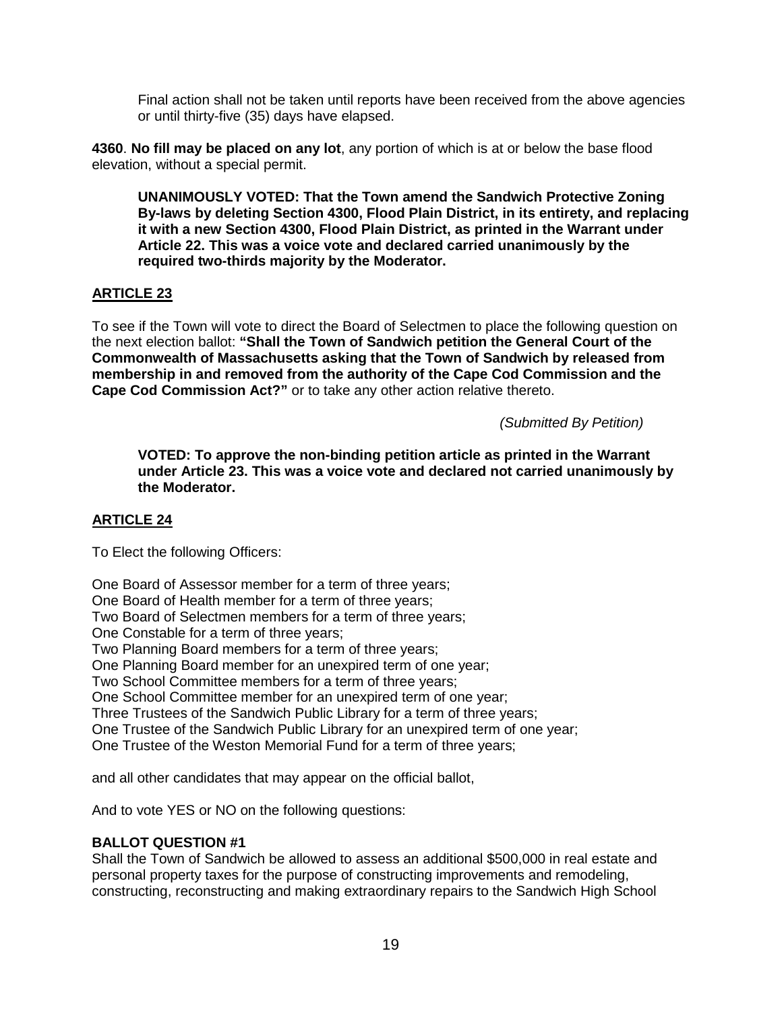Final action shall not be taken until reports have been received from the above agencies or until thirty-five (35) days have elapsed.

**4360**. **No fill may be placed on any lot**, any portion of which is at or below the base flood elevation, without a special permit.

**UNANIMOUSLY VOTED: That the Town amend the Sandwich Protective Zoning By-laws by deleting Section 4300, Flood Plain District, in its entirety, and replacing it with a new Section 4300, Flood Plain District, as printed in the Warrant under Article 22. This was a voice vote and declared carried unanimously by the required two-thirds majority by the Moderator.**

## **ARTICLE 23**

To see if the Town will vote to direct the Board of Selectmen to place the following question on the next election ballot: **"Shall the Town of Sandwich petition the General Court of the Commonwealth of Massachusetts asking that the Town of Sandwich by released from membership in and removed from the authority of the Cape Cod Commission and the Cape Cod Commission Act?"** or to take any other action relative thereto.

*(Submitted By Petition)*

**VOTED: To approve the non-binding petition article as printed in the Warrant under Article 23. This was a voice vote and declared not carried unanimously by the Moderator.**

## **ARTICLE 24**

To Elect the following Officers:

One Board of Assessor member for a term of three years; One Board of Health member for a term of three years; Two Board of Selectmen members for a term of three years; One Constable for a term of three years; Two Planning Board members for a term of three years; One Planning Board member for an unexpired term of one year; Two School Committee members for a term of three years; One School Committee member for an unexpired term of one year; Three Trustees of the Sandwich Public Library for a term of three years; One Trustee of the Sandwich Public Library for an unexpired term of one year; One Trustee of the Weston Memorial Fund for a term of three years;

and all other candidates that may appear on the official ballot,

And to vote YES or NO on the following questions:

## **BALLOT QUESTION #1**

Shall the Town of Sandwich be allowed to assess an additional \$500,000 in real estate and personal property taxes for the purpose of constructing improvements and remodeling, constructing, reconstructing and making extraordinary repairs to the Sandwich High School